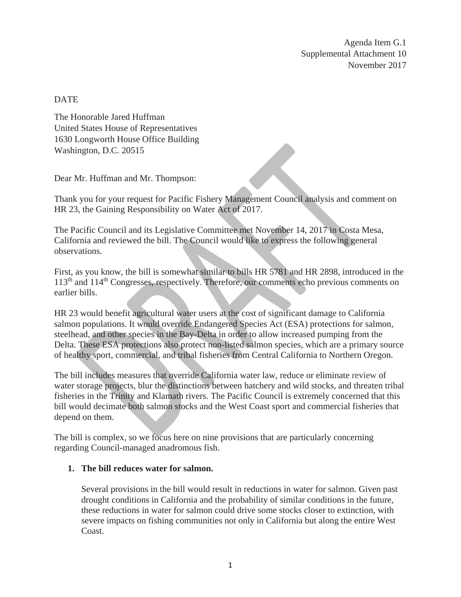Agenda Item G.1 Supplemental Attachment 10 November 2017

# **DATE**

The Honorable Jared Huffman United States House of Representatives 1630 Longworth House Office Building Washington, D.C. 20515

Dear Mr. Huffman and Mr. Thompson:

Thank you for your request for Pacific Fishery Management Council analysis and comment on HR 23, the Gaining Responsibility on Water Act of 2017.

The Pacific Council and its Legislative Committee met November 14, 2017 in Costa Mesa, California and reviewed the bill. The Council would like to express the following general observations.

First, as you know, the bill is somewhat similar to bills HR 5781 and HR 2898, introduced in the 113th and 114th Congresses, respectively. Therefore, our comments echo previous comments on earlier bills.

HR 23 would benefit agricultural water users at the cost of significant damage to California salmon populations. It would override Endangered Species Act (ESA) protections for salmon, steelhead, and other species in the Bay-Delta in order to allow increased pumping from the Delta. These ESA protections also protect non-listed salmon species, which are a primary source of healthy sport, commercial, and tribal fisheries from Central California to Northern Oregon.

The bill includes measures that override California water law, reduce or eliminate review of water storage projects, blur the distinctions between hatchery and wild stocks, and threaten tribal fisheries in the Trinity and Klamath rivers. The Pacific Council is extremely concerned that this bill would decimate both salmon stocks and the West Coast sport and commercial fisheries that depend on them.

The bill is complex, so we focus here on nine provisions that are particularly concerning regarding Council-managed anadromous fish.

# **1. The bill reduces water for salmon.**

Several provisions in the bill would result in reductions in water for salmon. Given past drought conditions in California and the probability of similar conditions in the future, these reductions in water for salmon could drive some stocks closer to extinction, with severe impacts on fishing communities not only in California but along the entire West Coast.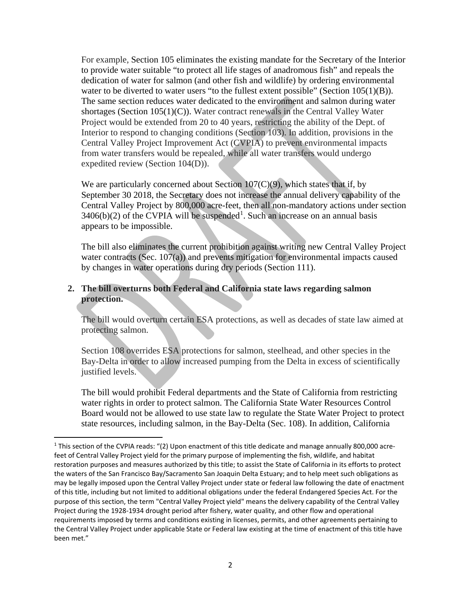For example, Section 105 eliminates the existing mandate for the Secretary of the Interior to provide water suitable "to protect all life stages of anadromous fish" and repeals the dedication of water for salmon (and other fish and wildlife) by ordering environmental water to be diverted to water users "to the fullest extent possible" (Section 105(1)(B)). The same section reduces water dedicated to the environment and salmon during water shortages (Section 105(1)(C)). Water contract renewals in the Central Valley Water Project would be extended from 20 to 40 years, restricting the ability of the Dept. of Interior to respond to changing conditions (Section 103). In addition, provisions in the Central Valley Project Improvement Act (CVPIA) to prevent environmental impacts from water transfers would be repealed, while all water transfers would undergo expedited review (Section 104(D)).

We are particularly concerned about Section  $107(C)(9)$ , which states that if, by September 30 2018, the Secretary does not increase the annual delivery capability of the Central Valley Project by 800,000 acre-feet, then all non-mandatory actions under section  $3406(b)(2)$  of the CVPIA will be suspended<sup>[1](#page-1-0)</sup>. Such an increase on an annual basis appears to be impossible.

The bill also eliminates the current prohibition against writing new Central Valley Project water contracts (Sec. 107(a)) and prevents mitigation for environmental impacts caused by changes in water operations during dry periods (Section 111).

# **2. The bill overturns both Federal and California state laws regarding salmon protection.**

The bill would overturn certain ESA protections, as well as decades of state law aimed at protecting salmon.

Section 108 overrides ESA protections for salmon, steelhead, and other species in the Bay-Delta in order to allow increased pumping from the Delta in excess of scientifically justified levels.

The bill would prohibit Federal departments and the State of California from restricting water rights in order to protect salmon. The California State Water Resources Control Board would not be allowed to use state law to regulate the State Water Project to protect state resources, including salmon, in the Bay-Delta (Sec. 108). In addition, California

<span id="page-1-0"></span><sup>&</sup>lt;sup>1</sup> This section of the CVPIA reads: "(2) Upon enactment of this title dedicate and manage annually 800,000 acrefeet of Central Valley Project yield for the primary purpose of implementing the fish, wildlife, and habitat restoration purposes and measures authorized by this title; to assist the State of California in its efforts to protect the waters of the San Francisco Bay/Sacramento San Joaquin Delta Estuary; and to help meet such obligations as may be legally imposed upon the Central Valley Project under state or federal law following the date of enactment of this title, including but not limited to additional obligations under the federal Endangered Species Act. For the purpose of this section, the term "Central Valley Project yield" means the delivery capability of the Central Valley Project during the 1928-1934 drought period after fishery, water quality, and other flow and operational requirements imposed by terms and conditions existing in licenses, permits, and other agreements pertaining to the Central Valley Project under applicable State or Federal law existing at the time of enactment of this title have been met."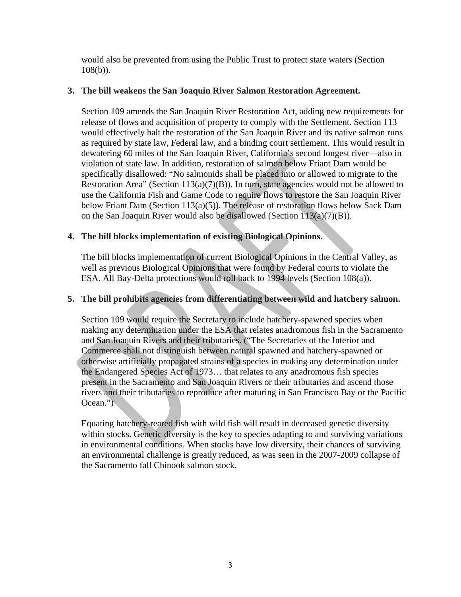would also be prevented from using the Public Trust to protect state waters (Section  $108(b)$ ).

## **3. The bill weakens the San Joaquin River Salmon Restoration Agreement.**

Section 109 amends the San Joaquin River Restoration Act, adding new requirements for release of flows and acquisition of property to comply with the Settlement. Section 113 would effectively halt the restoration of the San Joaquin River and its native salmon runs as required by state law, Federal law, and a binding court settlement. This would result in dewatering 60 miles of the San Joaquin River, California's second longest river—also in violation of state law. In addition, restoration of salmon below Friant Dam would be specifically disallowed: "No salmonids shall be placed into or allowed to migrate to the Restoration Area" (Section  $113(a)(7)(B)$ ). In turn, state agencies would not be allowed to use the California Fish and Game Code to require flows to restore the San Joaquin River below Friant Dam (Section 113(a)(5)). The release of restoration flows below Sack Dam on the San Joaquin River would also be disallowed (Section 113(a)(7)(B)).

## **4. The bill blocks implementation of existing Biological Opinions.**

The bill blocks implementation of current Biological Opinions in the Central Valley, as well as previous Biological Opinions that were found by Federal courts to violate the ESA. All Bay-Delta protections would roll back to 1994 levels (Section 108(a)).

# **5. The bill prohibits agencies from differentiating between wild and hatchery salmon.**

Section 109 would require the Secretary to include hatchery-spawned species when making any determination under the ESA that relates anadromous fish in the Sacramento and San Joaquin Rivers and their tributaries. ("The Secretaries of the Interior and Commerce shall not distinguish between natural spawned and hatchery-spawned or otherwise artificially propagated strains of a species in making any determination under the Endangered Species Act of 1973… that relates to any anadromous fish species present in the Sacramento and San Joaquin Rivers or their tributaries and ascend those rivers and their tributaries to reproduce after maturing in San Francisco Bay or the Pacific Ocean.")

Equating hatchery-reared fish with wild fish will result in decreased genetic diversity within stocks. Genetic diversity is the key to species adapting to and surviving variations in environmental conditions. When stocks have low diversity, their chances of surviving an environmental challenge is greatly reduced, as was seen in the 2007-2009 collapse of the Sacramento fall Chinook salmon stock.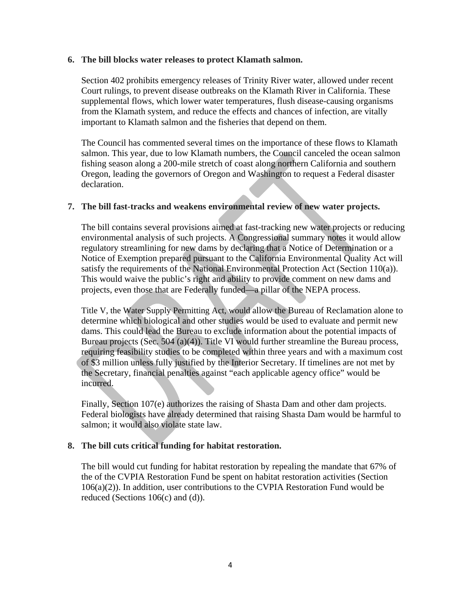#### **6. The bill blocks water releases to protect Klamath salmon.**

Section 402 prohibits emergency releases of Trinity River water, allowed under recent Court rulings, to prevent disease outbreaks on the Klamath River in California. These supplemental flows, which lower water temperatures, flush disease-causing organisms from the Klamath system, and reduce the effects and chances of infection, are vitally important to Klamath salmon and the fisheries that depend on them.

The Council has commented several times on the importance of these flows to Klamath salmon. This year, due to low Klamath numbers, the Council canceled the ocean salmon fishing season along a 200-mile stretch of coast along northern California and southern Oregon, leading the governors of Oregon and Washington to request a Federal disaster declaration.

## **7. The bill fast-tracks and weakens environmental review of new water projects.**

The bill contains several provisions aimed at fast-tracking new water projects or reducing environmental analysis of such projects. A Congressional summary notes it would allow regulatory streamlining for new dams by declaring that a Notice of Determination or a Notice of Exemption prepared pursuant to the California Environmental Quality Act will satisfy the requirements of the National Environmental Protection Act (Section 110(a)). This would waive the public's right and ability to provide comment on new dams and projects, even those that are Federally funded—a pillar of the NEPA process.

Title V, the Water Supply Permitting Act, would allow the Bureau of Reclamation alone to determine which biological and other studies would be used to evaluate and permit new dams. This could lead the Bureau to exclude information about the potential impacts of Bureau projects (Sec. 504 (a)(4)). Title VI would further streamline the Bureau process, requiring feasibility studies to be completed within three years and with a maximum cost of \$3 million unless fully justified by the Interior Secretary. If timelines are not met by the Secretary, financial penalties against "each applicable agency office" would be incurred.

Finally, Section 107(e) authorizes the raising of Shasta Dam and other dam projects. Federal biologists have already determined that raising Shasta Dam would be harmful to salmon; it would also violate state law.

## **8. The bill cuts critical funding for habitat restoration.**

The bill would cut funding for habitat restoration by repealing the mandate that 67% of the of the CVPIA Restoration Fund be spent on habitat restoration activities (Section  $106(a)(2)$ ). In addition, user contributions to the CVPIA Restoration Fund would be reduced (Sections 106(c) and (d)).